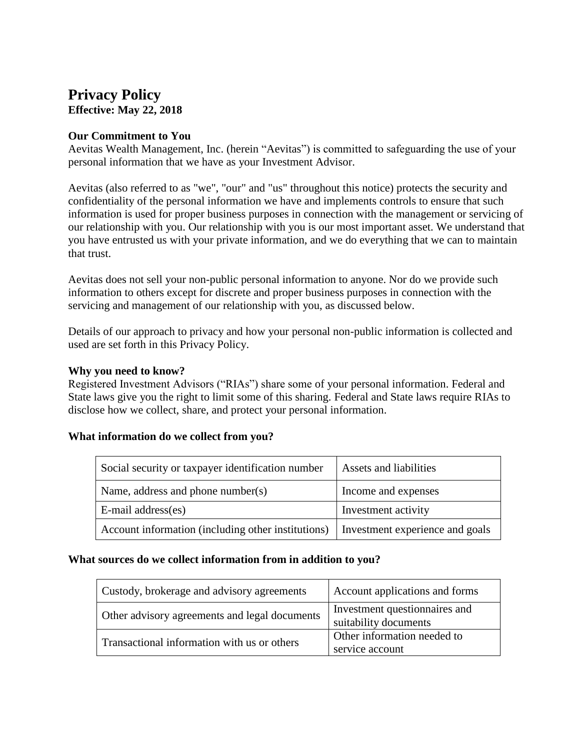# **Privacy Policy Effective: May 22, 2018**

#### **Our Commitment to You**

Aevitas Wealth Management, Inc. (herein "Aevitas") is committed to safeguarding the use of your personal information that we have as your Investment Advisor.

Aevitas (also referred to as "we", "our" and "us" throughout this notice) protects the security and confidentiality of the personal information we have and implements controls to ensure that such information is used for proper business purposes in connection with the management or servicing of our relationship with you. Our relationship with you is our most important asset. We understand that you have entrusted us with your private information, and we do everything that we can to maintain that trust.

Aevitas does not sell your non-public personal information to anyone. Nor do we provide such information to others except for discrete and proper business purposes in connection with the servicing and management of our relationship with you, as discussed below.

Details of our approach to privacy and how your personal non-public information is collected and used are set forth in this Privacy Policy.

#### **Why you need to know?**

Registered Investment Advisors ("RIAs") share some of your personal information. Federal and State laws give you the right to limit some of this sharing. Federal and State laws require RIAs to disclose how we collect, share, and protect your personal information.

#### **What information do we collect from you?**

| Social security or taxpayer identification number  | Assets and liabilities          |
|----------------------------------------------------|---------------------------------|
| Name, address and phone number(s)                  | Income and expenses             |
| E-mail address(es)                                 | Investment activity             |
| Account information (including other institutions) | Investment experience and goals |

#### **What sources do we collect information from in addition to you?**

| Custody, brokerage and advisory agreements    | Account applications and forms                         |
|-----------------------------------------------|--------------------------------------------------------|
| Other advisory agreements and legal documents | Investment questionnaires and<br>suitability documents |
| Transactional information with us or others   | Other information needed to<br>service account         |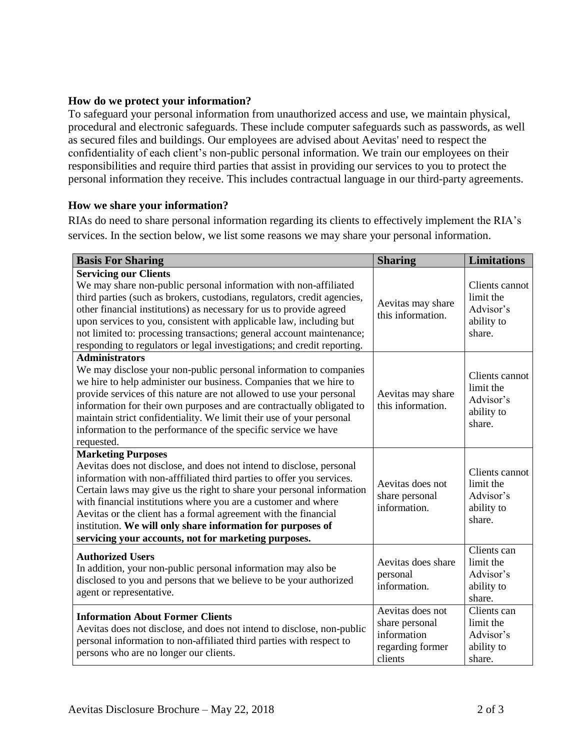## **How do we protect your information?**

To safeguard your personal information from unauthorized access and use, we maintain physical, procedural and electronic safeguards. These include computer safeguards such as passwords, as well as secured files and buildings. Our employees are advised about Aevitas' need to respect the confidentiality of each client's non-public personal information. We train our employees on their responsibilities and require third parties that assist in providing our services to you to protect the personal information they receive. This includes contractual language in our third-party agreements.

## **How we share your information?**

RIAs do need to share personal information regarding its clients to effectively implement the RIA's services. In the section below, we list some reasons we may share your personal information.

| <b>Basis For Sharing</b>                                                                                                                                                                                                                                                                                                                                                                                                                                                                                        | <b>Sharing</b>                                                                   | <b>Limitations</b>                                               |
|-----------------------------------------------------------------------------------------------------------------------------------------------------------------------------------------------------------------------------------------------------------------------------------------------------------------------------------------------------------------------------------------------------------------------------------------------------------------------------------------------------------------|----------------------------------------------------------------------------------|------------------------------------------------------------------|
| <b>Servicing our Clients</b><br>We may share non-public personal information with non-affiliated<br>third parties (such as brokers, custodians, regulators, credit agencies,<br>other financial institutions) as necessary for us to provide agreed<br>upon services to you, consistent with applicable law, including but<br>not limited to: processing transactions; general account maintenance;<br>responding to regulators or legal investigations; and credit reporting.                                  | Aevitas may share<br>this information.                                           | Clients cannot<br>limit the<br>Advisor's<br>ability to<br>share. |
| <b>Administrators</b><br>We may disclose your non-public personal information to companies<br>we hire to help administer our business. Companies that we hire to<br>provide services of this nature are not allowed to use your personal<br>information for their own purposes and are contractually obligated to<br>maintain strict confidentiality. We limit their use of your personal<br>information to the performance of the specific service we have<br>requested.                                       | Aevitas may share<br>this information.                                           | Clients cannot<br>limit the<br>Advisor's<br>ability to<br>share. |
| <b>Marketing Purposes</b><br>Aevitas does not disclose, and does not intend to disclose, personal<br>information with non-afffiliated third parties to offer you services.<br>Certain laws may give us the right to share your personal information<br>with financial institutions where you are a customer and where<br>Aevitas or the client has a formal agreement with the financial<br>institution. We will only share information for purposes of<br>servicing your accounts, not for marketing purposes. | Aevitas does not<br>share personal<br>information.                               | Clients cannot<br>limit the<br>Advisor's<br>ability to<br>share. |
| <b>Authorized Users</b><br>In addition, your non-public personal information may also be<br>disclosed to you and persons that we believe to be your authorized<br>agent or representative.                                                                                                                                                                                                                                                                                                                      | Aevitas does share<br>personal<br>information.                                   | Clients can<br>limit the<br>Advisor's<br>ability to<br>share.    |
| <b>Information About Former Clients</b><br>Aevitas does not disclose, and does not intend to disclose, non-public<br>personal information to non-affiliated third parties with respect to<br>persons who are no longer our clients.                                                                                                                                                                                                                                                                             | Aevitas does not<br>share personal<br>information<br>regarding former<br>clients | Clients can<br>limit the<br>Advisor's<br>ability to<br>share.    |